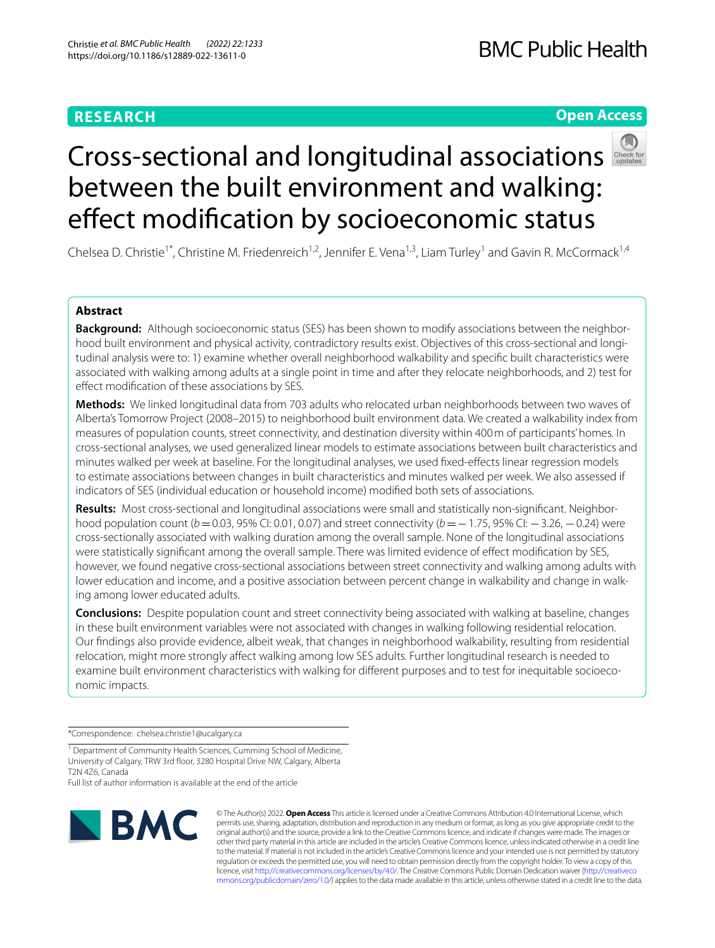# **RESEARCH**

# **Open Access**



# Cross-sectionaland longitudinal associations between the built environment and walking: effect modification by socioeconomic status

Chelsea D. Christie<sup>1\*</sup>, Christine M. Friedenreich<sup>1,2</sup>, Jennifer E. Vena<sup>1,3</sup>, Liam Turley<sup>1</sup> and Gavin R. McCormack<sup>1,4</sup>

# **Abstract**

**Background:** Although socioeconomic status (SES) has been shown to modify associations between the neighborhood built environment and physical activity, contradictory results exist. Objectives of this cross-sectional and longitudinal analysis were to: 1) examine whether overall neighborhood walkability and specifc built characteristics were associated with walking among adults at a single point in time and after they relocate neighborhoods, and 2) test for efect modifcation of these associations by SES.

**Methods:** We linked longitudinal data from 703 adults who relocated urban neighborhoods between two waves of Alberta's Tomorrow Project (2008–2015) to neighborhood built environment data. We created a walkability index from measures of population counts, street connectivity, and destination diversity within 400m of participants' homes. In cross-sectional analyses, we used generalized linear models to estimate associations between built characteristics and minutes walked per week at baseline. For the longitudinal analyses, we used fxed-efects linear regression models to estimate associations between changes in built characteristics and minutes walked per week. We also assessed if indicators of SES (individual education or household income) modifed both sets of associations.

**Results:** Most cross-sectional and longitudinal associations were small and statistically non-signifcant. Neighborhood population count (*b*=0.03, 95% CI: 0.01, 0.07) and street connectivity (*b*=−1.75, 95% CI: −3.26, −0.24) were cross-sectionally associated with walking duration among the overall sample. None of the longitudinal associations were statistically signifcant among the overall sample. There was limited evidence of efect modifcation by SES, however, we found negative cross-sectional associations between street connectivity and walking among adults with lower education and income, and a positive association between percent change in walkability and change in walking among lower educated adults.

**Conclusions:** Despite population count and street connectivity being associated with walking at baseline, changes in these built environment variables were not associated with changes in walking following residential relocation. Our fndings also provide evidence, albeit weak, that changes in neighborhood walkability, resulting from residential relocation, might more strongly afect walking among low SES adults. Further longitudinal research is needed to examine built environment characteristics with walking for diferent purposes and to test for inequitable socioeconomic impacts.

\*Correspondence: chelsea.christie1@ucalgary.ca

Full list of author information is available at the end of the article



© The Author(s) 2022. **Open Access** This article is licensed under a Creative Commons Attribution 4.0 International License, which permits use, sharing, adaptation, distribution and reproduction in any medium or format, as long as you give appropriate credit to the original author(s) and the source, provide a link to the Creative Commons licence, and indicate if changes were made. The images or other third party material in this article are included in the article's Creative Commons licence, unless indicated otherwise in a credit line to the material. If material is not included in the article's Creative Commons licence and your intended use is not permitted by statutory regulation or exceeds the permitted use, you will need to obtain permission directly from the copyright holder. To view a copy of this licence, visit [http://creativecommons.org/licenses/by/4.0/.](http://creativecommons.org/licenses/by/4.0/) The Creative Commons Public Domain Dedication waiver ([http://creativeco](http://creativecommons.org/publicdomain/zero/1.0/) [mmons.org/publicdomain/zero/1.0/](http://creativecommons.org/publicdomain/zero/1.0/)) applies to the data made available in this article, unless otherwise stated in a credit line to the data.

<sup>&</sup>lt;sup>1</sup> Department of Community Health Sciences, Cumming School of Medicine, University of Calgary, TRW 3rd foor, 3280 Hospital Drive NW, Calgary, Alberta T2N 4Z6, Canada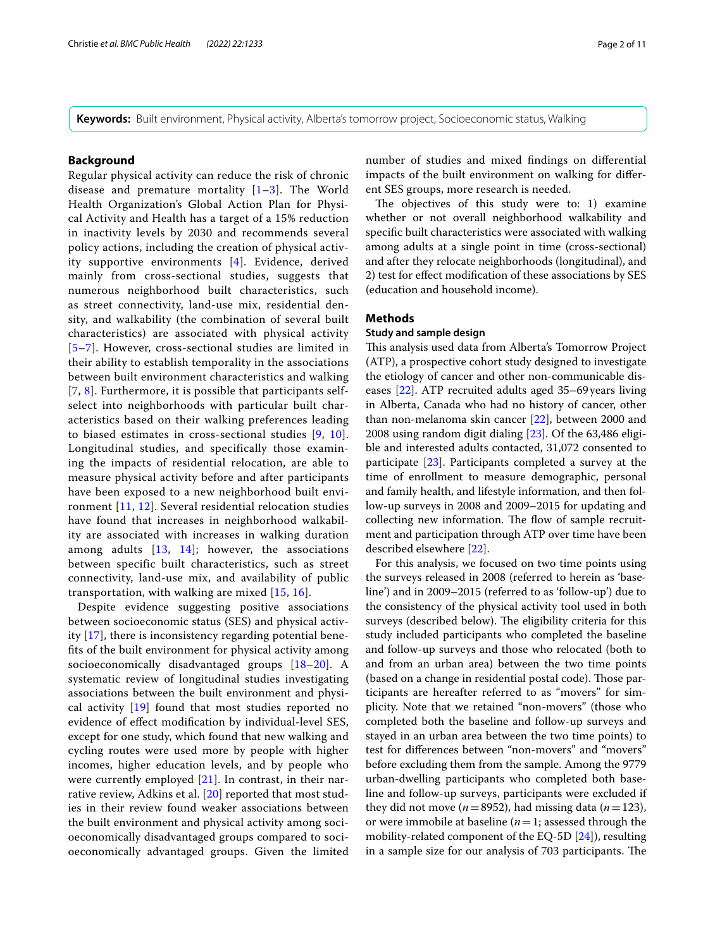**Keywords:** Built environment, Physical activity, Alberta's tomorrow project, Socioeconomic status, Walking

## **Background**

Regular physical activity can reduce the risk of chronic disease and premature mortality [\[1](#page-9-0)–[3\]](#page-9-1). The World Health Organization's Global Action Plan for Physical Activity and Health has a target of a 15% reduction in inactivity levels by 2030 and recommends several policy actions, including the creation of physical activity supportive environments [[4\]](#page-9-2). Evidence, derived mainly from cross-sectional studies, suggests that numerous neighborhood built characteristics, such as street connectivity, land-use mix, residential density, and walkability (the combination of several built characteristics) are associated with physical activity [[5](#page-9-3)[–7](#page-9-4)]. However, cross-sectional studies are limited in their ability to establish temporality in the associations between built environment characteristics and walking [[7](#page-9-4), [8](#page-9-5)]. Furthermore, it is possible that participants selfselect into neighborhoods with particular built characteristics based on their walking preferences leading to biased estimates in cross-sectional studies [[9](#page-9-6), [10\]](#page-9-7). Longitudinal studies, and specifically those examining the impacts of residential relocation, are able to measure physical activity before and after participants have been exposed to a new neighborhood built environment [[11,](#page-9-8) [12](#page-10-0)]. Several residential relocation studies have found that increases in neighborhood walkability are associated with increases in walking duration among adults  $[13, 14]$  $[13, 14]$  $[13, 14]$  $[13, 14]$ ; however, the associations between specific built characteristics, such as street connectivity, land-use mix, and availability of public transportation, with walking are mixed [[15,](#page-10-3) [16\]](#page-10-4).

Despite evidence suggesting positive associations between socioeconomic status (SES) and physical activity [\[17](#page-10-5)], there is inconsistency regarding potential benefts of the built environment for physical activity among socioeconomically disadvantaged groups [\[18](#page-10-6)[–20](#page-10-7)]. A systematic review of longitudinal studies investigating associations between the built environment and physical activity [[19\]](#page-10-8) found that most studies reported no evidence of efect modifcation by individual-level SES, except for one study, which found that new walking and cycling routes were used more by people with higher incomes, higher education levels, and by people who were currently employed [\[21](#page-10-9)]. In contrast, in their narrative review, Adkins et al. [\[20](#page-10-7)] reported that most studies in their review found weaker associations between the built environment and physical activity among socioeconomically disadvantaged groups compared to socioeconomically advantaged groups. Given the limited number of studies and mixed fndings on diferential impacts of the built environment on walking for diferent SES groups, more research is needed.

The objectives of this study were to: 1) examine whether or not overall neighborhood walkability and specifc built characteristics were associated with walking among adults at a single point in time (cross-sectional) and after they relocate neighborhoods (longitudinal), and 2) test for efect modifcation of these associations by SES (education and household income).

## **Methods**

## **Study and sample design**

This analysis used data from Alberta's Tomorrow Project (ATP), a prospective cohort study designed to investigate the etiology of cancer and other non-communicable diseases [[22](#page-10-10)]. ATP recruited adults aged 35–69years living in Alberta, Canada who had no history of cancer, other than non-melanoma skin cancer [[22\]](#page-10-10), between 2000 and 2008 using random digit dialing [[23](#page-10-11)]. Of the 63,486 eligible and interested adults contacted, 31,072 consented to participate [[23\]](#page-10-11). Participants completed a survey at the time of enrollment to measure demographic, personal and family health, and lifestyle information, and then follow-up surveys in 2008 and 2009–2015 for updating and collecting new information. The flow of sample recruitment and participation through ATP over time have been described elsewhere [[22\]](#page-10-10).

For this analysis, we focused on two time points using the surveys released in 2008 (referred to herein as 'baseline') and in 2009–2015 (referred to as 'follow-up') due to the consistency of the physical activity tool used in both surveys (described below). The eligibility criteria for this study included participants who completed the baseline and follow-up surveys and those who relocated (both to and from an urban area) between the two time points (based on a change in residential postal code). Those participants are hereafter referred to as "movers" for simplicity. Note that we retained "non-movers" (those who completed both the baseline and follow-up surveys and stayed in an urban area between the two time points) to test for diferences between "non-movers" and "movers" before excluding them from the sample. Among the 9779 urban-dwelling participants who completed both baseline and follow-up surveys, participants were excluded if they did not move ( $n=8952$ ), had missing data ( $n=123$ ), or were immobile at baseline (*n*=1; assessed through the mobility-related component of the EQ-5D [[24\]](#page-10-12)), resulting in a sample size for our analysis of 703 participants. The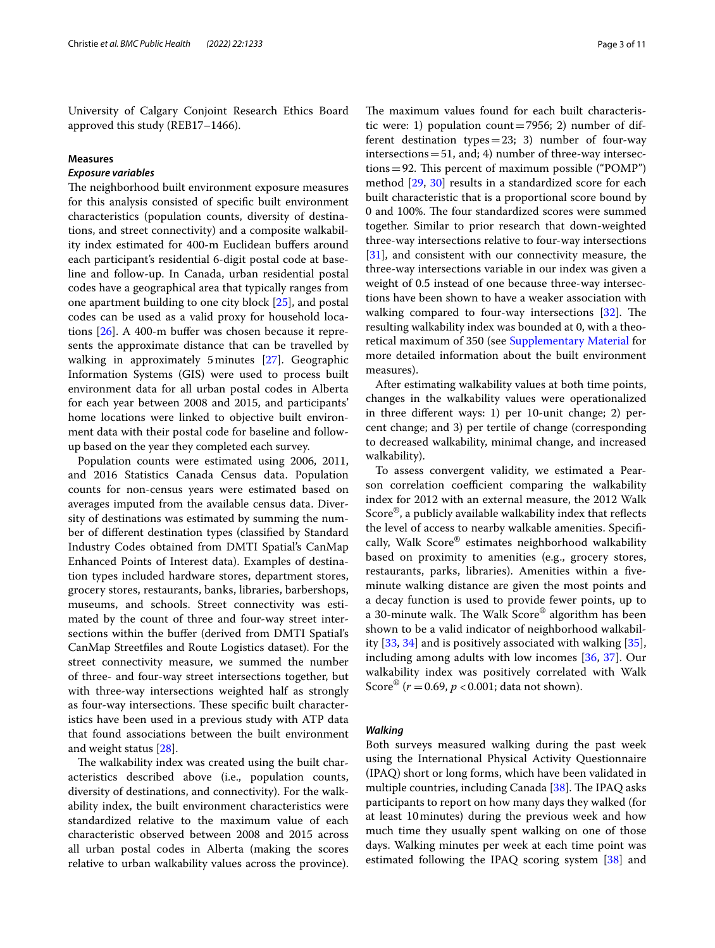University of Calgary Conjoint Research Ethics Board approved this study (REB17–1466).

## **Measures**

## *Exposure variables*

The neighborhood built environment exposure measures for this analysis consisted of specifc built environment characteristics (population counts, diversity of destinations, and street connectivity) and a composite walkability index estimated for 400-m Euclidean bufers around each participant's residential 6-digit postal code at baseline and follow-up. In Canada, urban residential postal codes have a geographical area that typically ranges from one apartment building to one city block [\[25\]](#page-10-13), and postal codes can be used as a valid proxy for household loca-tions [\[26](#page-10-14)]. A 400-m buffer was chosen because it represents the approximate distance that can be travelled by walking in approximately 5minutes [\[27](#page-10-15)]. Geographic Information Systems (GIS) were used to process built environment data for all urban postal codes in Alberta for each year between 2008 and 2015, and participants' home locations were linked to objective built environment data with their postal code for baseline and followup based on the year they completed each survey.

Population counts were estimated using 2006, 2011, and 2016 Statistics Canada Census data. Population counts for non-census years were estimated based on averages imputed from the available census data. Diversity of destinations was estimated by summing the number of diferent destination types (classifed by Standard Industry Codes obtained from DMTI Spatial's CanMap Enhanced Points of Interest data). Examples of destination types included hardware stores, department stores, grocery stores, restaurants, banks, libraries, barbershops, museums, and schools. Street connectivity was estimated by the count of three and four-way street intersections within the buffer (derived from DMTI Spatial's CanMap Streetfles and Route Logistics dataset). For the street connectivity measure, we summed the number of three- and four-way street intersections together, but with three-way intersections weighted half as strongly as four-way intersections. These specific built characteristics have been used in a previous study with ATP data that found associations between the built environment and weight status [\[28](#page-10-16)].

The walkability index was created using the built characteristics described above (i.e., population counts, diversity of destinations, and connectivity). For the walkability index, the built environment characteristics were standardized relative to the maximum value of each characteristic observed between 2008 and 2015 across all urban postal codes in Alberta (making the scores relative to urban walkability values across the province).

The maximum values found for each built characteristic were: 1) population count=7956; 2) number of different destination types = 23; 3) number of four-way intersections  $=51$ , and; 4) number of three-way intersections = 92. This percent of maximum possible ("POMP") method [\[29,](#page-10-17) [30](#page-10-18)] results in a standardized score for each built characteristic that is a proportional score bound by 0 and 100%. The four standardized scores were summed together. Similar to prior research that down-weighted three-way intersections relative to four-way intersections [[31\]](#page-10-19), and consistent with our connectivity measure, the three-way intersections variable in our index was given a weight of 0.5 instead of one because three-way intersections have been shown to have a weaker association with walking compared to four-way intersections  $[32]$  $[32]$ . The resulting walkability index was bounded at 0, with a theoretical maximum of 350 (see [Supplementary Material](#page-9-9) for more detailed information about the built environment measures).

After estimating walkability values at both time points, changes in the walkability values were operationalized in three diferent ways: 1) per 10-unit change; 2) percent change; and 3) per tertile of change (corresponding to decreased walkability, minimal change, and increased walkability).

To assess convergent validity, we estimated a Pearson correlation coefficient comparing the walkability index for 2012 with an external measure, the 2012 Walk Score®, a publicly available walkability index that refects the level of access to nearby walkable amenities. Specifcally, Walk Score® estimates neighborhood walkability based on proximity to amenities (e.g., grocery stores, restaurants, parks, libraries). Amenities within a fveminute walking distance are given the most points and a decay function is used to provide fewer points, up to a 30-minute walk. The Walk Score® algorithm has been shown to be a valid indicator of neighborhood walkability [[33,](#page-10-21) [34](#page-10-22)] and is positively associated with walking [\[35](#page-10-23)], including among adults with low incomes [\[36](#page-10-24), [37\]](#page-10-25). Our walkability index was positively correlated with Walk Score<sup>®</sup> (*r* = 0.69, *p* < 0.001; data not shown).

## *Walking*

Both surveys measured walking during the past week using the International Physical Activity Questionnaire (IPAQ) short or long forms, which have been validated in multiple countries, including Canada  $[38]$  $[38]$ . The IPAQ asks participants to report on how many days they walked (for at least 10minutes) during the previous week and how much time they usually spent walking on one of those days. Walking minutes per week at each time point was estimated following the IPAQ scoring system [\[38\]](#page-10-26) and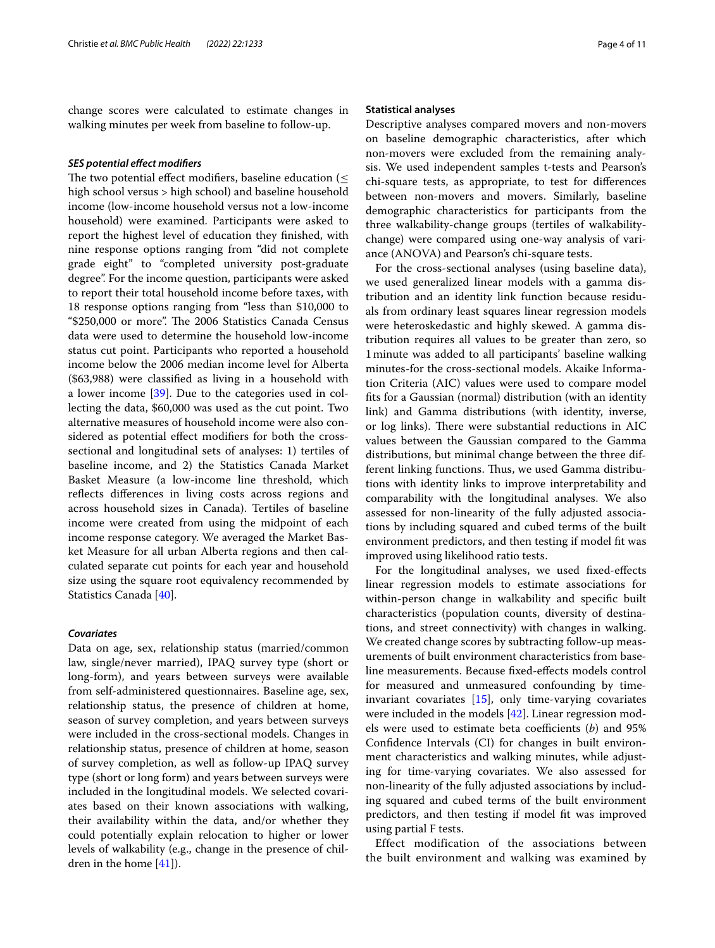change scores were calculated to estimate changes in walking minutes per week from baseline to follow-up.

## *SES potential efect modifers*

The two potential effect modifiers, baseline education ( $\leq$ high school versus > high school) and baseline household income (low-income household versus not a low-income household) were examined. Participants were asked to report the highest level of education they fnished, with nine response options ranging from "did not complete grade eight" to "completed university post-graduate degree". For the income question, participants were asked to report their total household income before taxes, with 18 response options ranging from "less than \$10,000 to "\$250,000 or more". The 2006 Statistics Canada Census data were used to determine the household low-income status cut point. Participants who reported a household income below the 2006 median income level for Alberta (\$63,988) were classifed as living in a household with a lower income [\[39\]](#page-10-27). Due to the categories used in collecting the data, \$60,000 was used as the cut point. Two alternative measures of household income were also considered as potential efect modifers for both the crosssectional and longitudinal sets of analyses: 1) tertiles of baseline income, and 2) the Statistics Canada Market Basket Measure (a low-income line threshold, which reflects differences in living costs across regions and across household sizes in Canada). Tertiles of baseline income were created from using the midpoint of each income response category. We averaged the Market Basket Measure for all urban Alberta regions and then calculated separate cut points for each year and household size using the square root equivalency recommended by Statistics Canada [\[40\]](#page-10-28).

## *Covariates*

Data on age, sex, relationship status (married/common law, single/never married), IPAQ survey type (short or long-form), and years between surveys were available from self-administered questionnaires. Baseline age, sex, relationship status, the presence of children at home, season of survey completion, and years between surveys were included in the cross-sectional models. Changes in relationship status, presence of children at home, season of survey completion, as well as follow-up IPAQ survey type (short or long form) and years between surveys were included in the longitudinal models. We selected covariates based on their known associations with walking, their availability within the data, and/or whether they could potentially explain relocation to higher or lower levels of walkability (e.g., change in the presence of children in the home [\[41](#page-10-29)]).

#### **Statistical analyses**

Descriptive analyses compared movers and non-movers on baseline demographic characteristics, after which non-movers were excluded from the remaining analysis. We used independent samples t-tests and Pearson's chi-square tests, as appropriate, to test for diferences between non-movers and movers. Similarly, baseline demographic characteristics for participants from the three walkability-change groups (tertiles of walkabilitychange) were compared using one-way analysis of variance (ANOVA) and Pearson's chi-square tests.

For the cross-sectional analyses (using baseline data), we used generalized linear models with a gamma distribution and an identity link function because residuals from ordinary least squares linear regression models were heteroskedastic and highly skewed. A gamma distribution requires all values to be greater than zero, so 1minute was added to all participants' baseline walking minutes-for the cross-sectional models. Akaike Information Criteria (AIC) values were used to compare model fts for a Gaussian (normal) distribution (with an identity link) and Gamma distributions (with identity, inverse, or log links). There were substantial reductions in AIC values between the Gaussian compared to the Gamma distributions, but minimal change between the three different linking functions. Thus, we used Gamma distributions with identity links to improve interpretability and comparability with the longitudinal analyses. We also assessed for non-linearity of the fully adjusted associations by including squared and cubed terms of the built environment predictors, and then testing if model ft was improved using likelihood ratio tests.

For the longitudinal analyses, we used fxed-efects linear regression models to estimate associations for within-person change in walkability and specifc built characteristics (population counts, diversity of destinations, and street connectivity) with changes in walking. We created change scores by subtracting follow-up measurements of built environment characteristics from baseline measurements. Because fxed-efects models control for measured and unmeasured confounding by timeinvariant covariates [\[15\]](#page-10-3), only time-varying covariates were included in the models [\[42](#page-10-30)]. Linear regression models were used to estimate beta coefficients (*b*) and 95% Confdence Intervals (CI) for changes in built environment characteristics and walking minutes, while adjusting for time-varying covariates. We also assessed for non-linearity of the fully adjusted associations by including squared and cubed terms of the built environment predictors, and then testing if model ft was improved using partial F tests.

Effect modification of the associations between the built environment and walking was examined by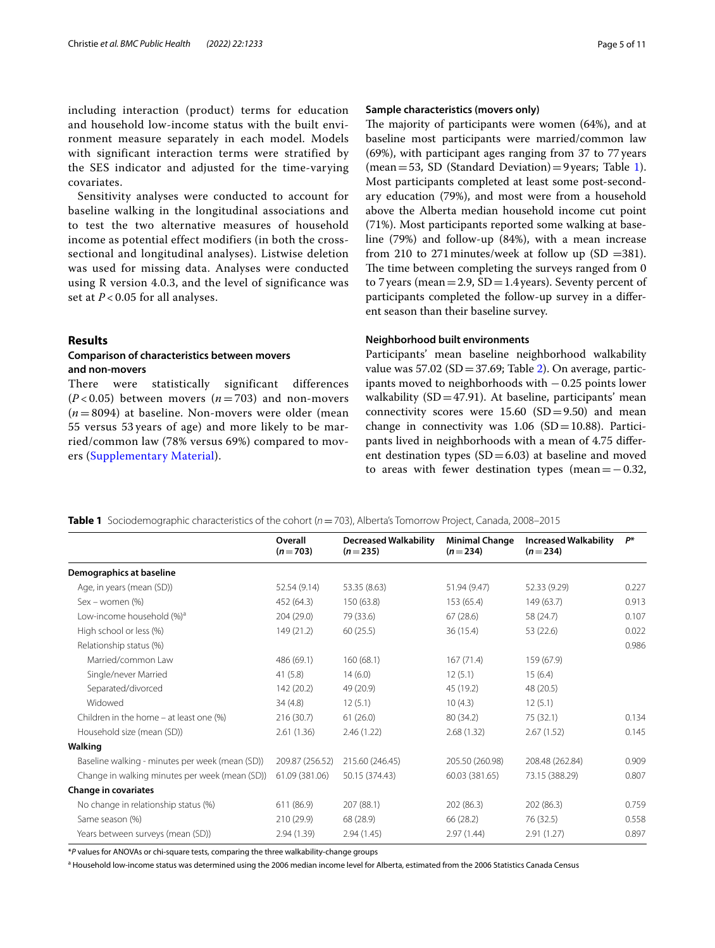including interaction (product) terms for education and household low-income status with the built environment measure separately in each model. Models with significant interaction terms were stratified by the SES indicator and adjusted for the time-varying covariates.

Sensitivity analyses were conducted to account for baseline walking in the longitudinal associations and to test the two alternative measures of household income as potential effect modifiers (in both the crosssectional and longitudinal analyses). Listwise deletion was used for missing data. Analyses were conducted using R version 4.0.3, and the level of significance was set at *P* < 0.05 for all analyses.

## **Results**

## **Comparison of characteristics between movers and non‑movers**

There were statistically significant differences  $(P<0.05)$  between movers  $(n=703)$  and non-movers  $(n=8094)$  at baseline. Non-movers were older (mean 55 versus 53 years of age) and more likely to be married/common law (78% versus 69%) compared to movers ([Supplementary Material\)](#page-9-9).

## **Sample characteristics (movers only)**

The majority of participants were women (64%), and at baseline most participants were married/common law (69%), with participant ages ranging from 37 to 77years (mean = 53, SD (Standard Deviation) = 9 years; Table [1](#page-4-0)). Most participants completed at least some post-secondary education (79%), and most were from a household above the Alberta median household income cut point (71%). Most participants reported some walking at baseline (79%) and follow-up (84%), with a mean increase from 210 to 271 minutes/week at follow up (SD =381). The time between completing the surveys ranged from 0 to 7 years (mean = 2.9,  $SD = 1.4$  years). Seventy percent of participants completed the follow-up survey in a diferent season than their baseline survey.

### **Neighborhood built environments**

Participants' mean baseline neighborhood walkability value was  $57.02$  (SD = 37.69; Table [2](#page-5-0)). On average, participants moved to neighborhoods with −0.25 points lower walkability ( $SD = 47.91$ ). At baseline, participants' mean connectivity scores were  $15.60$  (SD=9.50) and mean change in connectivity was  $1.06$  (SD=10.88). Participants lived in neighborhoods with a mean of 4.75 diferent destination types  $(SD=6.03)$  at baseline and moved to areas with fewer destination types (mean= $-0.32$ ,

<span id="page-4-0"></span>**Table 1** Sociodemographic characteristics of the cohort (*n*=703), Alberta's Tomorrow Project, Canada, 2008–2015

|                                                 | Overall<br>$(n=703)$ | <b>Decreased Walkability</b><br>$(n=235)$ | <b>Minimal Change</b><br>$(n=234)$ | <b>Increased Walkability</b><br>$(n=234)$ | $P^*$ |
|-------------------------------------------------|----------------------|-------------------------------------------|------------------------------------|-------------------------------------------|-------|
| Demographics at baseline                        |                      |                                           |                                    |                                           |       |
| Age, in years (mean (SD))                       | 52.54 (9.14)         | 53.35 (8.63)                              | 51.94 (9.47)                       | 52.33 (9.29)                              | 0.227 |
| $Sex - women (%)$                               | 452 (64.3)           | 150 (63.8)                                | 153 (65.4)                         | 149 (63.7)                                | 0.913 |
| Low-income household (%) <sup>a</sup>           | 204(29.0)            | 79 (33.6)                                 | 67(28.6)                           | 58 (24.7)                                 | 0.107 |
| High school or less (%)                         | 149 (21.2)           | 60(25.5)                                  | 36 (15.4)                          | 53 (22.6)                                 | 0.022 |
| Relationship status (%)                         |                      |                                           |                                    |                                           | 0.986 |
| Married/common Law                              | 486 (69.1)           | 160 (68.1)                                | 167(71.4)                          | 159 (67.9)                                |       |
| Single/never Married                            | 41(5.8)              | 14(6.0)                                   | 12(5.1)                            | 15(6.4)                                   |       |
| Separated/divorced                              | 142 (20.2)           | 49 (20.9)                                 | 45 (19.2)                          | 48 (20.5)                                 |       |
| Widowed                                         | 34(4.8)              | 12(5.1)                                   | 10(4.3)                            | 12(5.1)                                   |       |
| Children in the home $-$ at least one $(\%)$    | 216(30.7)            | 61(26.0)                                  | 80 (34.2)                          | 75 (32.1)                                 | 0.134 |
| Household size (mean (SD))                      | 2.61(1.36)           | 2.46(1.22)                                | 2.68(1.32)                         | 2.67(1.52)                                | 0.145 |
| Walking                                         |                      |                                           |                                    |                                           |       |
| Baseline walking - minutes per week (mean (SD)) | 209.87 (256.52)      | 215.60 (246.45)                           | 205.50 (260.98)                    | 208.48 (262.84)                           | 0.909 |
| Change in walking minutes per week (mean (SD))  | 61.09 (381.06)       | 50.15 (374.43)                            | 60.03 (381.65)                     | 73.15 (388.29)                            | 0.807 |
| <b>Change in covariates</b>                     |                      |                                           |                                    |                                           |       |
| No change in relationship status (%)            | 611 (86.9)           | 207 (88.1)                                | 202 (86.3)                         | 202 (86.3)                                | 0.759 |
| Same season (%)                                 | 210(29.9)            | 68 (28.9)                                 | 66 (28.2)                          | 76 (32.5)                                 | 0.558 |
| Years between surveys (mean (SD))               | 2.94(1.39)           | 2.94(1.45)                                | 2.97(1.44)                         | 2.91(1.27)                                | 0.897 |

\**P* values for ANOVAs or chi-square tests, comparing the three walkability-change groups

<sup>a</sup> Household low-income status was determined using the 2006 median income level for Alberta, estimated from the 2006 Statistics Canada Census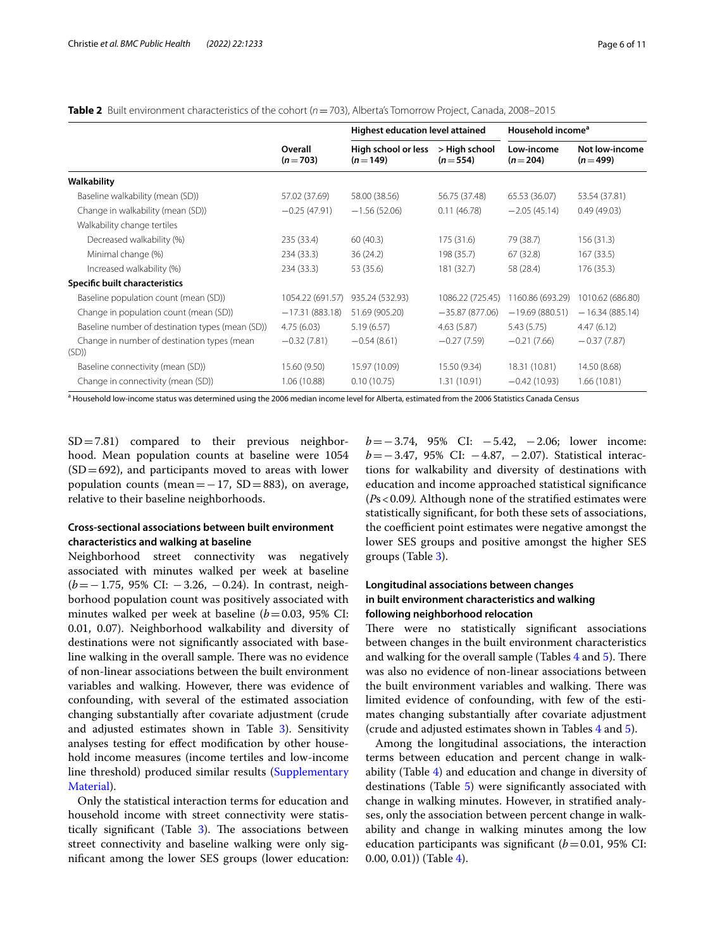<span id="page-5-0"></span>

| Table 2 Built environment characteristics of the cohort (n = 703), Alberta's Tomorrow Project, Canada, 2008–2015 |
|------------------------------------------------------------------------------------------------------------------|
|------------------------------------------------------------------------------------------------------------------|

|                                                     |                      | Highest education level attained |                            | Household income <sup>a</sup> |                             |
|-----------------------------------------------------|----------------------|----------------------------------|----------------------------|-------------------------------|-----------------------------|
|                                                     | Overall<br>$(n=703)$ | High school or less<br>$(n=149)$ | > High school<br>$(n=554)$ | Low-income<br>$(n=204)$       | Not low-income<br>$(n=499)$ |
| Walkability                                         |                      |                                  |                            |                               |                             |
| Baseline walkability (mean (SD))                    | 57.02 (37.69)        | 58.00 (38.56)                    | 56.75 (37.48)              | 65.53 (36.07)                 | 53.54 (37.81)               |
| Change in walkability (mean (SD))                   | $-0.25(47.91)$       | $-1.56(52.06)$                   | 0.11(46.78)                | $-2.05(45.14)$                | 0.49(49.03)                 |
| Walkability change tertiles                         |                      |                                  |                            |                               |                             |
| Decreased walkability (%)                           | 235 (33.4)           | 60(40.3)                         | 175 (31.6)                 | 79 (38.7)                     | 156(31.3)                   |
| Minimal change (%)                                  | 234 (33.3)           | 36 (24.2)                        | 198 (35.7)                 | 67 (32.8)                     | 167(33.5)                   |
| Increased walkability (%)                           | 234 (33.3)           | 53 (35.6)                        | 181 (32.7)                 | 58 (28.4)                     | 176 (35.3)                  |
| Specific built characteristics                      |                      |                                  |                            |                               |                             |
| Baseline population count (mean (SD))               | 1054.22 (691.57)     | 935.24 (532.93)                  | 1086.22 (725.45)           | 1160.86 (693.29)              | 1010.62 (686.80)            |
| Change in population count (mean (SD))              | $-17.31(883.18)$     | 51.69 (905.20)                   | $-35.87(877.06)$           | $-19.69(880.51)$              | $-16.34(885.14)$            |
| Baseline number of destination types (mean (SD))    | 4.75(6.03)           | 5.19(6.57)                       | 4.63(5.87)                 | 5.43(5.75)                    | 4.47(6.12)                  |
| Change in number of destination types (mean<br>(SD) | $-0.32(7.81)$        | $-0.54(8.61)$                    | $-0.27(7.59)$              | $-0.21(7.66)$                 | $-0.37(7.87)$               |
| Baseline connectivity (mean (SD))                   | 15.60 (9.50)         | 15.97 (10.09)                    | 15.50 (9.34)               | 18.31 (10.81)                 | 14.50 (8.68)                |
| Change in connectivity (mean (SD))                  | 1.06(10.88)          | 0.10(10.75)                      | 1.31 (10.91)               | $-0.42(10.93)$                | 1.66(10.81)                 |

<sup>a</sup> Household low-income status was determined using the 2006 median income level for Alberta, estimated from the 2006 Statistics Canada Census

 $SD = 7.81$ ) compared to their previous neighborhood. Mean population counts at baseline were 1054  $(SD=692)$ , and participants moved to areas with lower population counts (mean=−17, SD=883), on average, relative to their baseline neighborhoods.

## **Cross‑sectional associations between built environment characteristics and walking at baseline**

Neighborhood street connectivity was negatively associated with minutes walked per week at baseline (*b*=−1.75, 95% CI: −3.26, −0.24). In contrast, neighborhood population count was positively associated with minutes walked per week at baseline (*b*=0.03, 95% CI: 0.01, 0.07). Neighborhood walkability and diversity of destinations were not signifcantly associated with baseline walking in the overall sample. There was no evidence of non-linear associations between the built environment variables and walking. However, there was evidence of confounding, with several of the estimated association changing substantially after covariate adjustment (crude and adjusted estimates shown in Table [3\)](#page-6-0). Sensitivity analyses testing for efect modifcation by other household income measures (income tertiles and low-income line threshold) produced similar results [\(Supplementary](#page-9-9)  [Material](#page-9-9)).

Only the statistical interaction terms for education and household income with street connectivity were statistically significant (Table  $3$ ). The associations between street connectivity and baseline walking were only signifcant among the lower SES groups (lower education: *b* = −3.74, 95% CI: −5.42, −2.06; lower income: *b* = −3.47, 95% CI: −4.87, −2.07). Statistical interactions for walkability and diversity of destinations with education and income approached statistical signifcance (*P*s<0.09*).* Although none of the stratifed estimates were statistically signifcant, for both these sets of associations, the coefficient point estimates were negative amongst the lower SES groups and positive amongst the higher SES groups (Table [3\)](#page-6-0).

## **Longitudinal associations between changes in built environment characteristics and walking following neighborhood relocation**

There were no statistically significant associations between changes in the built environment characteristics and walking for the overall sample (Tables  $4$  and  $5$ ). There was also no evidence of non-linear associations between the built environment variables and walking. There was limited evidence of confounding, with few of the estimates changing substantially after covariate adjustment (crude and adjusted estimates shown in Tables [4](#page-6-1) and [5\)](#page-7-0).

Among the longitudinal associations, the interaction terms between education and percent change in walkability (Table [4\)](#page-6-1) and education and change in diversity of destinations (Table [5\)](#page-7-0) were significantly associated with change in walking minutes. However, in stratifed analyses, only the association between percent change in walkability and change in walking minutes among the low education participants was significant  $(b=0.01, 95\%$  CI:  $(0.00, 0.01)$  (Table [4\)](#page-6-1).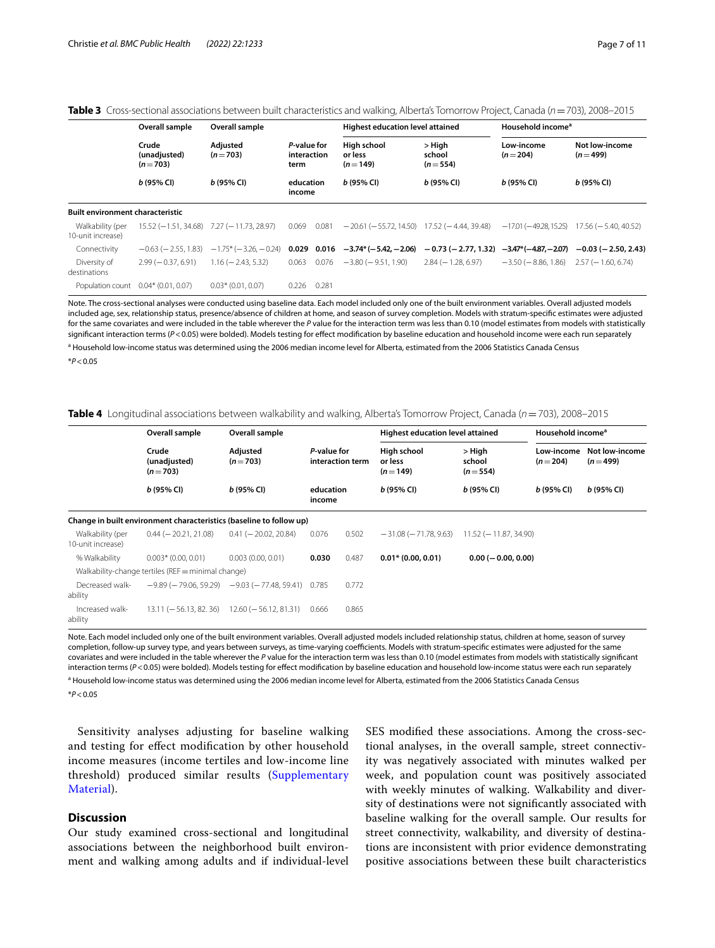<span id="page-6-0"></span>

|--|

|                                         | Overall sample                     | Overall sample                                |                                    |       | Highest education level attained                      |                                             | Household income <sup>a</sup> |                             |
|-----------------------------------------|------------------------------------|-----------------------------------------------|------------------------------------|-------|-------------------------------------------------------|---------------------------------------------|-------------------------------|-----------------------------|
|                                         | Crude<br>(unadjusted)<br>$(n=703)$ | Adjusted<br>$(n=703)$                         | P-value for<br>interaction<br>term |       | High school<br>or less<br>$(n=149)$                   | > High<br>school<br>$(n=554)$               | Low-income<br>$(n=204)$       | Not low-income<br>$(n=499)$ |
|                                         | $b(95%$ CI)                        | b(95% Cl)                                     | education<br>income                |       | $b(95%$ CI)                                           | $b(95%$ CI)                                 | $b(95%$ CI)                   | $b(95%$ CI)                 |
| <b>Built environment characteristic</b> |                                    |                                               |                                    |       |                                                       |                                             |                               |                             |
| Walkability (per<br>10-unit increase)   |                                    | $15.52 (-1.51, 34.68)$ $7.27 (-11.73, 28.97)$ | 0.069                              | 0.081 | $-20.61$ ( $-55.72$ , 14.50) 17.52 ( $-4.44$ , 39.48) |                                             | $-17.01 (-49.28.15.25)$       | $17.56 (= 5.40.40.52)$      |
| Connectivity                            | $-0.63$ ( $-2.55$ , 1.83)          | $-1.75$ * ( $-3.26$ , $-0.24$ )               |                                    |       | $0.029$ $0.016$ $-3.74*(-5.42, -2.06)$                | $-0.73$ (-2.77, 1.32) $-3.47*(-4.87,-2.07)$ |                               | $-0.03$ ( $-2.50$ , 2.43)   |
| Diversity of<br>destinations            | $2.99(-0.37.6.91)$                 | $1.16 (-2.43.5.32)$                           | 0.063                              | 0.076 | $-3.80$ ( $-9.51$ , 1.90)                             | $2.84 (-1.28.6.97)$                         | $-3.50$ ( $-8.86$ , 1.86)     | $2.57(-1.60.6.74)$          |
| Population count 0.04* (0.01, 0.07)     |                                    | $0.03*$ (0.01, 0.07)                          | 0.226                              | 0.281 |                                                       |                                             |                               |                             |

Note. The cross-sectional analyses were conducted using baseline data. Each model included only one of the built environment variables. Overall adjusted models included age, sex, relationship status, presence/absence of children at home, and season of survey completion. Models with stratum-specifc estimates were adjusted for the same covariates and were included in the table wherever the *P* value for the interaction term was less than 0.10 (model estimates from models with statistically significant interaction terms (P<0.05) were bolded). Models testing for effect modification by baseline education and household income were each run separately

<sup>a</sup> Household low-income status was determined using the 2006 median income level for Alberta, estimated from the 2006 Statistics Canada Census \**P*<0.05

<span id="page-6-1"></span>

| Table 4 Longitudinal associations between walkability and walking, Alberta's Tomorrow Project, Canada (n = 703), 2008-2015 |  |
|----------------------------------------------------------------------------------------------------------------------------|--|
|----------------------------------------------------------------------------------------------------------------------------|--|

|                                       | Overall sample<br>Overall sample                                    |                                                               |                     |                  | Highest education level attained    |                               | Household income <sup>a</sup> |                             |
|---------------------------------------|---------------------------------------------------------------------|---------------------------------------------------------------|---------------------|------------------|-------------------------------------|-------------------------------|-------------------------------|-----------------------------|
|                                       | Crude<br>(unadjusted)<br>$(n=703)$                                  | Adjusted<br>$(n=703)$                                         | P-value for         | interaction term | High school<br>or less<br>$(n=149)$ | > High<br>school<br>$(n=554)$ | Low-income<br>$(n=204)$       | Not low-income<br>$(n=499)$ |
|                                       | $b(95% \, \text{Cl})$                                               | $b(95%$ CI)                                                   | education<br>income |                  | $b(95% \, \text{Cl})$               | $b(95%$ CI)                   | $b(95%$ CI)                   | $b(95% \, \text{Cl})$       |
|                                       | Change in built environment characteristics (baseline to follow up) |                                                               |                     |                  |                                     |                               |                               |                             |
| Walkability (per<br>10-unit increase) | $0.44 (-20.21, 21.08)$                                              | $0.41 (-20.02, 20.84)$                                        | 0.076               | 0.502            | $-31.08$ ( $-71.78$ , 9.63)         | 11.52 (-11.87, 34.90)         |                               |                             |
| % Walkability                         | $0.003*$ (0.00, 0.01)                                               | 0.003(0.00, 0.01)                                             | 0.030               | 0.487            | $0.01*$ (0.00, 0.01)                | $0.00 (-0.00, 0.00)$          |                               |                             |
|                                       | Walkability-change tertiles (REF = minimal change)                  |                                                               |                     |                  |                                     |                               |                               |                             |
| Decreased walk-<br>ability            |                                                                     | $-9.89$ ( $-79.06$ , 59.29) $-9.03$ ( $-77.48$ , 59.41) 0.785 |                     | 0.772            |                                     |                               |                               |                             |
| Increased walk-<br>ability            |                                                                     | $13.11 (-56.13, 82, 36)$ $12.60 (-56.12, 81.31)$              | 0.666               | 0.865            |                                     |                               |                               |                             |

Note. Each model included only one of the built environment variables. Overall adjusted models included relationship status, children at home, season of survey completion, follow-up survey type, and years between surveys, as time-varying coefficients. Models with stratum-specific estimates were adjusted for the same covariates and were included in the table wherever the *P* value for the interaction term was less than 0.10 (model estimates from models with statistically signifcant interaction terms ( $P$ <0.05) were bolded). Models testing for effect modification by baseline education and household low-income status were each run separately

<sup>a</sup> Household low-income status was determined using the 2006 median income level for Alberta, estimated from the 2006 Statistics Canada Census \**P*<0.05

Sensitivity analyses adjusting for baseline walking and testing for efect modifcation by other household income measures (income tertiles and low-income line threshold) produced similar results ([Supplementary](#page-9-9)  [Material](#page-9-9)).

## **Discussion**

Our study examined cross-sectional and longitudinal associations between the neighborhood built environment and walking among adults and if individual-level SES modifed these associations. Among the cross-sectional analyses, in the overall sample, street connectivity was negatively associated with minutes walked per week, and population count was positively associated with weekly minutes of walking. Walkability and diversity of destinations were not signifcantly associated with baseline walking for the overall sample. Our results for street connectivity, walkability, and diversity of destinations are inconsistent with prior evidence demonstrating positive associations between these built characteristics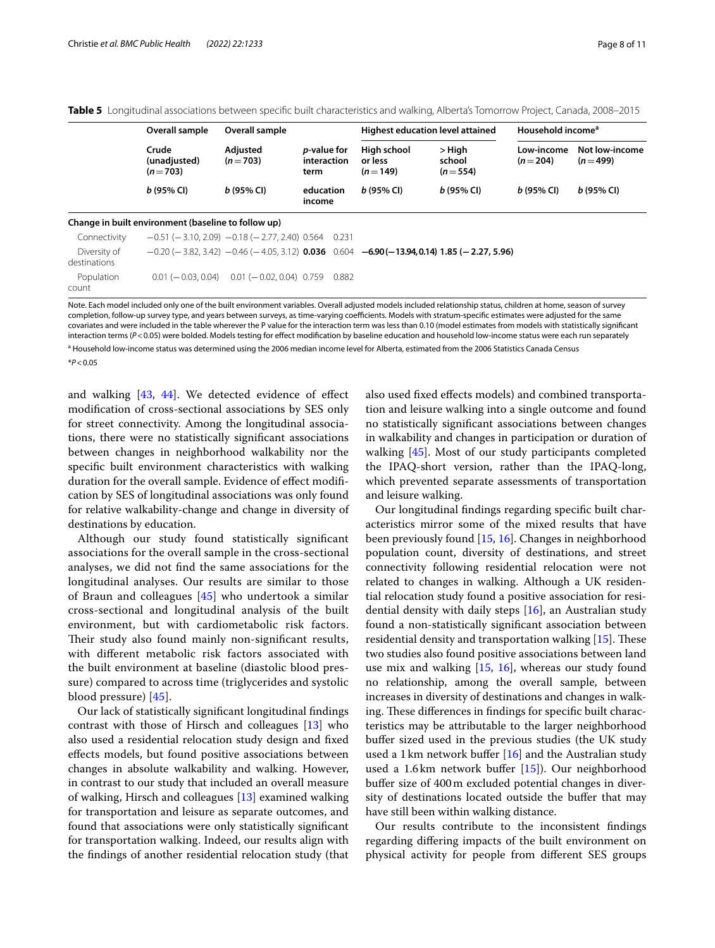|                              | Overall sample                                      | Overall sample                                                  | <i>p</i> -value for<br>interaction<br>term |       | Highest education level attained                                                                                      |                               | Household income <sup>a</sup> |                             |
|------------------------------|-----------------------------------------------------|-----------------------------------------------------------------|--------------------------------------------|-------|-----------------------------------------------------------------------------------------------------------------------|-------------------------------|-------------------------------|-----------------------------|
|                              | Crude<br>(unadjusted)<br>$(n=703)$                  | Adjusted<br>$(n=703)$                                           |                                            |       | High school<br>or less<br>$(n=149)$                                                                                   | > High<br>school<br>$(n=554)$ | Low-income<br>$(n=204)$       | Not low-income<br>$(n=499)$ |
|                              | $b(95%$ CI)                                         | $b(95%$ CI)                                                     | education<br>income                        |       | $b(95%$ CI)                                                                                                           | $b(95%$ CI)                   | $b(95%$ CI)                   | $b(95%$ CI)                 |
|                              | Change in built environment (baseline to follow up) |                                                                 |                                            |       |                                                                                                                       |                               |                               |                             |
| Connectivity                 |                                                     | $-0.51$ ( $-3.10$ , 2.09) $-0.18$ ( $-2.77$ , 2.40) 0.564 0.231 |                                            |       |                                                                                                                       |                               |                               |                             |
| Diversity of<br>destinations |                                                     |                                                                 |                                            |       | $-0.20$ ( $-3.82$ , 3.42) $-0.46$ ( $-4.05$ , 3.12) <b>0.036</b> 0.604 <b>-6.90 (-13.94, 0.14) 1.85 (-2.27, 5.96)</b> |                               |                               |                             |
| Population<br>count          | $0.01 (-0.03, 0.04)$                                | $0.01 (-0.02, 0.04) 0.759$                                      |                                            | 0.882 |                                                                                                                       |                               |                               |                             |

<span id="page-7-0"></span>

|  |  | Table 5 Longitudinal associations between specific built characteristics and walking, Alberta's Tomorrow Project, Canada, 2008–2015 |  |  |  |  |
|--|--|-------------------------------------------------------------------------------------------------------------------------------------|--|--|--|--|
|--|--|-------------------------------------------------------------------------------------------------------------------------------------|--|--|--|--|

Note. Each model included only one of the built environment variables. Overall adjusted models included relationship status, children at home, season of survey completion, follow-up survey type, and years between surveys, as time-varying coefficients. Models with stratum-specific estimates were adjusted for the same covariates and were included in the table wherever the P value for the interaction term was less than 0.10 (model estimates from models with statistically signifcant interaction terms (*P*<0.05) were bolded. Models testing for effect modification by baseline education and household low-income status were each run separately

<sup>a</sup> Household low-income status was determined using the 2006 median income level for Alberta, estimated from the 2006 Statistics Canada Census

\**P*<0.05

and walking [\[43,](#page-10-31) [44](#page-10-32)]. We detected evidence of efect modifcation of cross-sectional associations by SES only for street connectivity. Among the longitudinal associations, there were no statistically signifcant associations between changes in neighborhood walkability nor the specifc built environment characteristics with walking duration for the overall sample. Evidence of effect modification by SES of longitudinal associations was only found for relative walkability-change and change in diversity of destinations by education.

Although our study found statistically signifcant associations for the overall sample in the cross-sectional analyses, we did not fnd the same associations for the longitudinal analyses. Our results are similar to those of Braun and colleagues  $[45]$  $[45]$  who undertook a similar cross-sectional and longitudinal analysis of the built environment, but with cardiometabolic risk factors. Their study also found mainly non-significant results, with diferent metabolic risk factors associated with the built environment at baseline (diastolic blood pressure) compared to across time (triglycerides and systolic blood pressure) [\[45](#page-10-33)].

Our lack of statistically signifcant longitudinal fndings contrast with those of Hirsch and colleagues [[13\]](#page-10-1) who also used a residential relocation study design and fxed efects models, but found positive associations between changes in absolute walkability and walking. However, in contrast to our study that included an overall measure of walking, Hirsch and colleagues [[13](#page-10-1)] examined walking for transportation and leisure as separate outcomes, and found that associations were only statistically signifcant for transportation walking. Indeed, our results align with the fndings of another residential relocation study (that

also used fxed efects models) and combined transportation and leisure walking into a single outcome and found no statistically signifcant associations between changes in walkability and changes in participation or duration of walking [\[45](#page-10-33)]. Most of our study participants completed the IPAQ-short version, rather than the IPAQ-long, which prevented separate assessments of transportation and leisure walking.

Our longitudinal fndings regarding specifc built characteristics mirror some of the mixed results that have been previously found [[15,](#page-10-3) [16](#page-10-4)]. Changes in neighborhood population count, diversity of destinations, and street connectivity following residential relocation were not related to changes in walking. Although a UK residential relocation study found a positive association for residential density with daily steps  $[16]$  $[16]$ , an Australian study found a non-statistically signifcant association between residential density and transportation walking  $[15]$  $[15]$ . These two studies also found positive associations between land use mix and walking [\[15,](#page-10-3) [16\]](#page-10-4), whereas our study found no relationship, among the overall sample, between increases in diversity of destinations and changes in walking. These differences in findings for specific built characteristics may be attributable to the larger neighborhood bufer sized used in the previous studies (the UK study used a 1 km network buffer  $[16]$  $[16]$  and the Australian study used a 1.6km network buffer [[15\]](#page-10-3)). Our neighborhood bufer size of 400m excluded potential changes in diversity of destinations located outside the buffer that may have still been within walking distance.

Our results contribute to the inconsistent fndings regarding difering impacts of the built environment on physical activity for people from diferent SES groups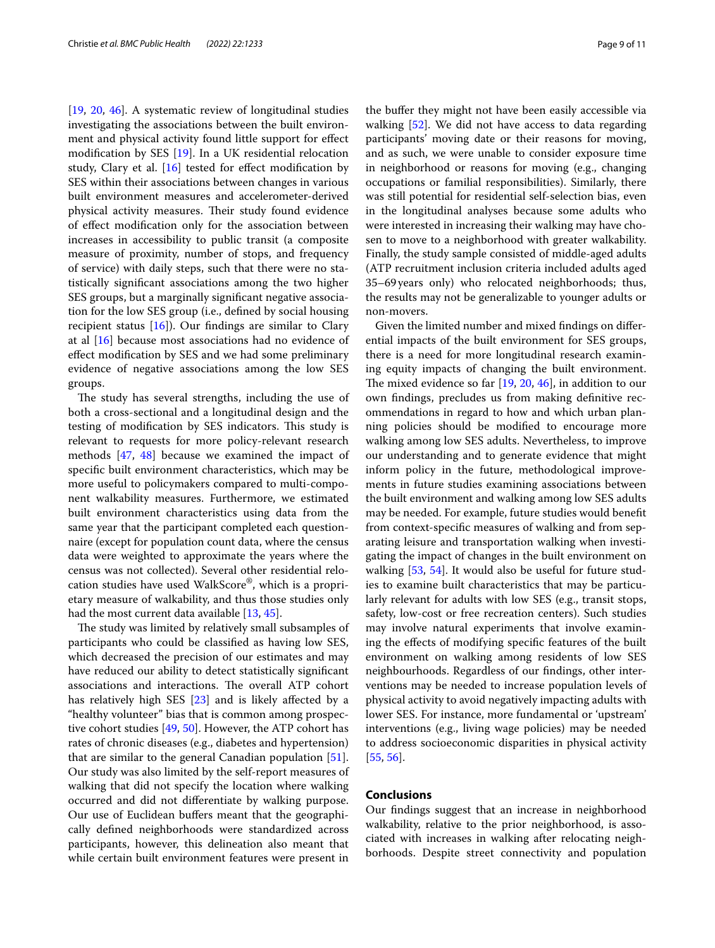[[19,](#page-10-8) [20](#page-10-7), [46\]](#page-10-34). A systematic review of longitudinal studies investigating the associations between the built environment and physical activity found little support for efect modifcation by SES [\[19](#page-10-8)]. In a UK residential relocation study, Clary et al. [\[16\]](#page-10-4) tested for effect modification by SES within their associations between changes in various built environment measures and accelerometer-derived physical activity measures. Their study found evidence of efect modifcation only for the association between increases in accessibility to public transit (a composite measure of proximity, number of stops, and frequency of service) with daily steps, such that there were no statistically signifcant associations among the two higher SES groups, but a marginally signifcant negative association for the low SES group (i.e., defned by social housing recipient status  $[16]$  $[16]$ ). Our findings are similar to Clary at al [\[16](#page-10-4)] because most associations had no evidence of efect modifcation by SES and we had some preliminary evidence of negative associations among the low SES groups.

The study has several strengths, including the use of both a cross-sectional and a longitudinal design and the testing of modification by SES indicators. This study is relevant to requests for more policy-relevant research methods [\[47](#page-10-35), [48\]](#page-10-36) because we examined the impact of specifc built environment characteristics, which may be more useful to policymakers compared to multi-component walkability measures. Furthermore, we estimated built environment characteristics using data from the same year that the participant completed each questionnaire (except for population count data, where the census data were weighted to approximate the years where the census was not collected). Several other residential relocation studies have used WalkScore®, which is a proprietary measure of walkability, and thus those studies only had the most current data available [[13](#page-10-1), [45\]](#page-10-33).

The study was limited by relatively small subsamples of participants who could be classifed as having low SES, which decreased the precision of our estimates and may have reduced our ability to detect statistically signifcant associations and interactions. The overall ATP cohort has relatively high SES [[23\]](#page-10-11) and is likely afected by a "healthy volunteer" bias that is common among prospective cohort studies [[49,](#page-10-37) [50](#page-10-38)]. However, the ATP cohort has rates of chronic diseases (e.g., diabetes and hypertension) that are similar to the general Canadian population [\[51](#page-10-39)]. Our study was also limited by the self-report measures of walking that did not specify the location where walking occurred and did not diferentiate by walking purpose. Our use of Euclidean buffers meant that the geographically defned neighborhoods were standardized across participants, however, this delineation also meant that while certain built environment features were present in the buffer they might not have been easily accessible via walking [\[52](#page-10-40)]. We did not have access to data regarding participants' moving date or their reasons for moving, and as such, we were unable to consider exposure time in neighborhood or reasons for moving (e.g., changing occupations or familial responsibilities). Similarly, there was still potential for residential self-selection bias, even in the longitudinal analyses because some adults who were interested in increasing their walking may have chosen to move to a neighborhood with greater walkability. Finally, the study sample consisted of middle-aged adults (ATP recruitment inclusion criteria included adults aged 35–69years only) who relocated neighborhoods; thus, the results may not be generalizable to younger adults or non-movers.

Given the limited number and mixed fndings on diferential impacts of the built environment for SES groups, there is a need for more longitudinal research examining equity impacts of changing the built environment. The mixed evidence so far  $[19, 20, 46]$  $[19, 20, 46]$  $[19, 20, 46]$  $[19, 20, 46]$  $[19, 20, 46]$ , in addition to our own fndings, precludes us from making defnitive recommendations in regard to how and which urban planning policies should be modifed to encourage more walking among low SES adults. Nevertheless, to improve our understanding and to generate evidence that might inform policy in the future, methodological improvements in future studies examining associations between the built environment and walking among low SES adults may be needed. For example, future studies would beneft from context-specifc measures of walking and from separating leisure and transportation walking when investigating the impact of changes in the built environment on walking [[53,](#page-10-41) [54\]](#page-10-42). It would also be useful for future studies to examine built characteristics that may be particularly relevant for adults with low SES (e.g., transit stops, safety, low-cost or free recreation centers). Such studies may involve natural experiments that involve examining the efects of modifying specifc features of the built environment on walking among residents of low SES neighbourhoods. Regardless of our fndings, other interventions may be needed to increase population levels of physical activity to avoid negatively impacting adults with lower SES. For instance, more fundamental or 'upstream' interventions (e.g., living wage policies) may be needed to address socioeconomic disparities in physical activity [[55,](#page-10-43) [56](#page-10-44)].

## **Conclusions**

Our fndings suggest that an increase in neighborhood walkability, relative to the prior neighborhood, is associated with increases in walking after relocating neighborhoods. Despite street connectivity and population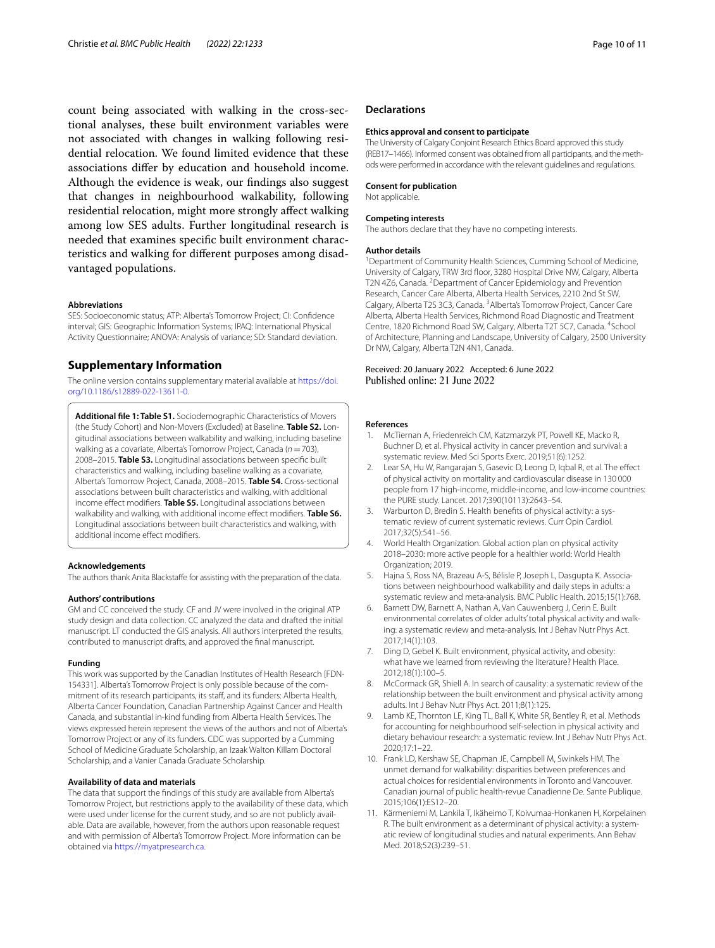count being associated with walking in the cross-sectional analyses, these built environment variables were not associated with changes in walking following residential relocation. We found limited evidence that these associations difer by education and household income. Although the evidence is weak, our fndings also suggest that changes in neighbourhood walkability, following residential relocation, might more strongly afect walking among low SES adults. Further longitudinal research is needed that examines specifc built environment characteristics and walking for diferent purposes among disadvantaged populations.

#### **Abbreviations**

SES: Socioeconomic status; ATP: Alberta's Tomorrow Project; CI: Confdence interval; GIS: Geographic Information Systems; IPAQ: International Physical Activity Questionnaire; ANOVA: Analysis of variance; SD: Standard deviation.

## **Supplementary Information**

The online version contains supplementary material available at [https://doi.](https://doi.org/10.1186/s12889-022-13611-0) [org/10.1186/s12889-022-13611-0](https://doi.org/10.1186/s12889-022-13611-0).

<span id="page-9-9"></span>**Additional fle 1: Table S1.** Sociodemographic Characteristics of Movers (the Study Cohort) and Non-Movers (Excluded) at Baseline. **Table S2.** Longitudinal associations between walkability and walking, including baseline walking as a covariate, Alberta's Tomorrow Project, Canada (*n*=703), 2008–2015. **Table S3.** Longitudinal associations between specifc built characteristics and walking, including baseline walking as a covariate, Alberta's Tomorrow Project, Canada, 2008–2015. **Table S4.** Cross-sectional associations between built characteristics and walking, with additional income efect modifers. **Table S5.** Longitudinal associations between walkability and walking, with additional income efect modifers. **Table S6.** Longitudinal associations between built characteristics and walking, with additional income effect modifiers.

#### **Acknowledgements**

The authors thank Anita Blackstafe for assisting with the preparation of the data.

#### **Authors' contributions**

GM and CC conceived the study. CF and JV were involved in the original ATP study design and data collection. CC analyzed the data and drafted the initial manuscript. LT conducted the GIS analysis. All authors interpreted the results, contributed to manuscript drafts, and approved the fnal manuscript.

#### **Funding**

This work was supported by the Canadian Institutes of Health Research [FDN-154331]. Alberta's Tomorrow Project is only possible because of the commitment of its research participants, its staf, and its funders: Alberta Health, Alberta Cancer Foundation, Canadian Partnership Against Cancer and Health Canada, and substantial in-kind funding from Alberta Health Services. The views expressed herein represent the views of the authors and not of Alberta's Tomorrow Project or any of its funders. CDC was supported by a Cumming School of Medicine Graduate Scholarship, an Izaak Walton Killam Doctoral Scholarship, and a Vanier Canada Graduate Scholarship.

#### **Availability of data and materials**

The data that support the fndings of this study are available from Alberta's Tomorrow Project, but restrictions apply to the availability of these data, which were used under license for the current study, and so are not publicly available. Data are available, however, from the authors upon reasonable request and with permission of Alberta's Tomorrow Project. More information can be obtained via<https://myatpresearch.ca>.

#### **Declarations**

#### **Ethics approval and consent to participate**

The University of Calgary Conjoint Research Ethics Board approved this study (REB17–1466). Informed consent was obtained from all participants, and the methods were performed in accordance with the relevant guidelines and regulations.

#### **Consent for publication**

Not applicable.

#### **Competing interests**

The authors declare that they have no competing interests.

#### **Author details**

<sup>1</sup> Department of Community Health Sciences, Cumming School of Medicine, University of Calgary, TRW 3rd foor, 3280 Hospital Drive NW, Calgary, Alberta T2N 4Z6, Canada. <sup>2</sup> Department of Cancer Epidemiology and Prevention Research, Cancer Care Alberta, Alberta Health Services, 2210 2nd St SW, Calgary, Alberta T2S 3C3, Canada. <sup>3</sup> Alberta's Tomorrow Project, Cancer Care Alberta, Alberta Health Services, Richmond Road Diagnostic and Treatment Centre, 1820 Richmond Road SW, Calgary, Alberta T2T 5C7, Canada. <sup>4</sup>School of Architecture, Planning and Landscape, University of Calgary, 2500 University Dr NW, Calgary, Alberta T2N 4N1, Canada.

#### Received: 20 January 2022 Accepted: 6 June 2022 Published online: 21 June 2022

#### **References**

- <span id="page-9-0"></span>1. McTiernan A, Friedenreich CM, Katzmarzyk PT, Powell KE, Macko R, Buchner D, et al. Physical activity in cancer prevention and survival: a systematic review. Med Sci Sports Exerc. 2019;51(6):1252.
- 2. Lear SA, Hu W, Rangarajan S, Gasevic D, Leong D, Iqbal R, et al. The efect of physical activity on mortality and cardiovascular disease in 130 000 people from 17 high-income, middle-income, and low-income countries: the PURE study. Lancet. 2017;390(10113):2643–54.
- <span id="page-9-1"></span>Warburton D, Bredin S. Health benefits of physical activity: a systematic review of current systematic reviews. Curr Opin Cardiol. 2017;32(5):541–56.
- <span id="page-9-2"></span>4. World Health Organization. Global action plan on physical activity 2018–2030: more active people for a healthier world: World Health Organization; 2019.
- <span id="page-9-3"></span>5. Hajna S, Ross NA, Brazeau A-S, Bélisle P, Joseph L, Dasgupta K. Associations between neighbourhood walkability and daily steps in adults: a systematic review and meta-analysis. BMC Public Health. 2015;15(1):768.
- 6. Barnett DW, Barnett A, Nathan A, Van Cauwenberg J, Cerin E. Built environmental correlates of older adults' total physical activity and walking: a systematic review and meta-analysis. Int J Behav Nutr Phys Act. 2017;14(1):103.
- <span id="page-9-4"></span>7. Ding D, Gebel K. Built environment, physical activity, and obesity: what have we learned from reviewing the literature? Health Place. 2012;18(1):100–5.
- <span id="page-9-5"></span>8. McCormack GR, Shiell A. In search of causality: a systematic review of the relationship between the built environment and physical activity among adults. Int J Behav Nutr Phys Act. 2011;8(1):125.
- <span id="page-9-6"></span>9. Lamb KE, Thornton LE, King TL, Ball K, White SR, Bentley R, et al. Methods for accounting for neighbourhood self-selection in physical activity and dietary behaviour research: a systematic review. Int J Behav Nutr Phys Act. 2020;17:1–22.
- <span id="page-9-7"></span>10. Frank LD, Kershaw SE, Chapman JE, Campbell M, Swinkels HM. The unmet demand for walkability: disparities between preferences and actual choices for residential environments in Toronto and Vancouver. Canadian journal of public health-revue Canadienne De. Sante Publique. 2015;106(1):ES12–20.
- <span id="page-9-8"></span>11. Kärmeniemi M, Lankila T, Ikäheimo T, Koivumaa-Honkanen H, Korpelainen R. The built environment as a determinant of physical activity: a systematic review of longitudinal studies and natural experiments. Ann Behav Med. 2018;52(3):239–51.